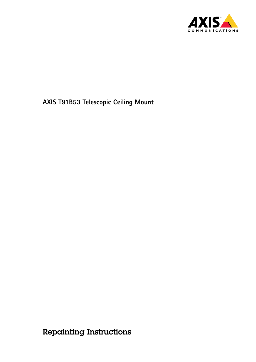

Repainting Instructions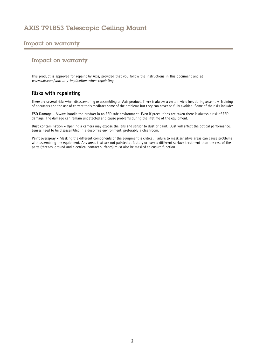### Impact on warranty

#### Impact on warranty

This product is approved for repaint by Axis, provided that you follow the instructions in this document and at *www.axis.com/warranty-implication-when-repainting*

#### **Risks with repainting**

There are several risks when disassembling or assembling an Axis product. There is always <sup>a</sup> certain yield loss during assembly. Training of operators and the use of correct tools mediates some of the problems but they can never be fully avoided. Some of the risks include:

**ESD Damage -** Always handle the product in an ESD safe environment. Even if precautions are taken there is always <sup>a</sup> risk of ESD damage. The damage can remain undetected and cause problems during the lifetime of the equipment.

**Dust contamination -** Opening <sup>a</sup> camera may expose the lens and sensor to dust or paint. Dust will affect the optical performance. Lenses need to be disassembled in <sup>a</sup> dust-free environment, preferably <sup>a</sup> cleanroom.

**Paint overspray -** Masking the different components of the equipment is critical. Failure to mask sensitive areas can cause problems with assembling the equipment. Any areas that are not painted at factory or have <sup>a</sup> different surface treatment than the rest of the parts (threads, ground and electrical contact surfaces) must also be masked to ensure function.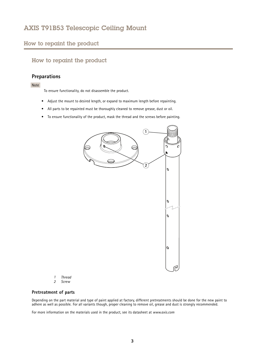#### <span id="page-2-0"></span>How to repaint the product

### How to repaint the product

## **Preparations**

Note

To ensure functionality, do not disassemble the product.

- Adjust the mount to desired length, or expand to maximum length before repainting.
- All parts to be repainted must be thoroughly cleaned to remove grease, dust or oil.
- To ensure functionality of the product, mask the thread and the screws before painting.



- *1 Thread*
- *2 Screw*

#### **Pretreatment of parts**

Depending on the part material and type of paint applied at factory, different pretreatments should be done for the new paint to adhere as well as possible. For all variants though, proper cleaning to remove oil, grease and dust is strongly recommended.

For more information on the materials used in the product, see its datasheet at *www.axis.com*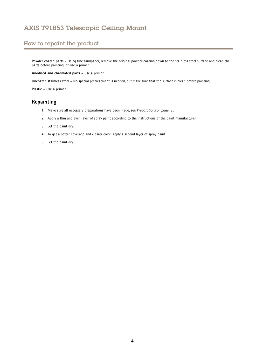## How to repaint the product

**Powder coated parts -** Using fine sandpaper, remove the original powder coating down to the stainless steel surface and clean the parts before painting, or use <sup>a</sup> primer.

**Anodised and chromated parts -** Use <sup>a</sup> primer.

**Uncoated stainless steel -** No special pretreatment is needed, but make sure that the surface is clean before painting.

**Plastic -** Use <sup>a</sup> primer.

## **Repainting**

- 1. Make sure all necessary preparations have been made, see *[Preparations](#page-2-0) on page [3](#page-2-0)* .
- 2. Apply <sup>a</sup> thin and even layer of spray paint according to the instructions of the paint manufacturer.
- 3. Let the paint dry.
- 4. To get <sup>a</sup> better coverage and clearer color, apply <sup>a</sup> second layer of spray paint.
- 5. Let the paint dry.